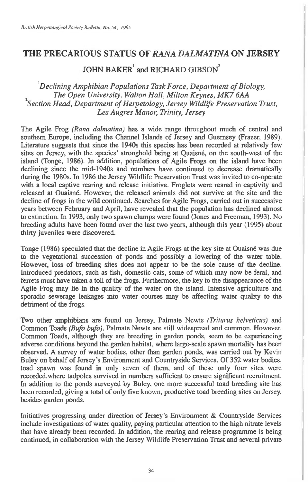## **THE PRECARIOUS STATUS OF** *RANA DALMATINA* **ON JERSEY**

 $JOHN$  BAKER<sup>1</sup> and RICHARD GIBSON<sup>2</sup>

*'Declining Amphibian Populations Task Force, Department of Biology, The Open University, Walton Hall, Milton Keynes, MK7 6AA* <sup>2</sup> *Section Head, Department of Herpetology, Jersey Wildlife Preservation Trust, Les Augres Manor, Trinity, Jersey* 

The Agile Frog *(Rana dalmatina)* has a wide range throughout much of central and southern Europe, including the Channel Islands of Jersey and Guernsey (Frazer, 1989). Literature suggests that since the 1940s this species has been recorded at relatively few sites on Jersey, with the species' stronghold being at Quaisne, on the south-west of the island (Tonge, 1986). In addition, populations of Agile Frogs on the island have been declining since the mid-1940s and numbers have continued to decrease dramatically during the 1980s. In 1986 the Jersey Wildlife Preservation Trust was invited to co-operate with a local captive rearing and release initiative. Froglets were reared in captivity and released at Ouaisne. However, the released animals did not survive at the site and the decline of frogs in the wild continued. Searches for Agile Frogs, carried out in successive years between February and April, have revealed that the population has declined almost to extinction. In 1993, only two spawn clumps were found (Jones and Freeman, 1993). No breeding adults have been found over the last two years, although this year (1995) about thirty juveniles were discovered.

Tonge (1986) speculated that the decline in Agile Frogs at the key site at Ouaisne was due to the vegetational succession of ponds and possibly a lowering of the water table. However, loss of breeding sites does not appear to be the sole cause of the decline. Introduced predators, such as fish, domestic cats, some of which may now be feral, and ferrets must have taken a toll of the frogs. Furthermore, the key to the disappearance of the Agile Frog may lie in the quality of the water on the island. Intensive agriculture and sporadic sewerage leakages into water courses may be affecting water quality to the detriment of the frogs.

Two other amphibians are found on Jersey, Palmate Newts *(Triturus helveticus)* and Common Toads *(Bufo bufo).* Palmate Newts are still widespread and common. However, Common Toads, although they are breeding in garden ponds, seem to be experiencing adverse conditions beyond the garden habitat, where large-scale spawn mortality has been observed. A survey of water bodies, other than garden ponds, was carried out by Kevin Buley on behalf of Jersey's Environment and Countryside Services. Of 352 water bodies, toad spawn was found in only seven of them, and of these only four sites were recorded,where tadpoles survived in numbers sufficient to ensure significant recruitment. In addition to the ponds surveyed by Buley, one more successful toad breeding site has been recorded, giving a total of only five known, productive toad breeding sites on Jersey, besides garden ponds.

Initiatives progressing under direction of Jersey's Environment & Countryside Services include investigations of water quality, paying particular attention to the high nitrate levels that have already been recorded. In addition, the rearing and release programme is being continued, in collaboration with the Jersey Wildlife Preservation Trust and several private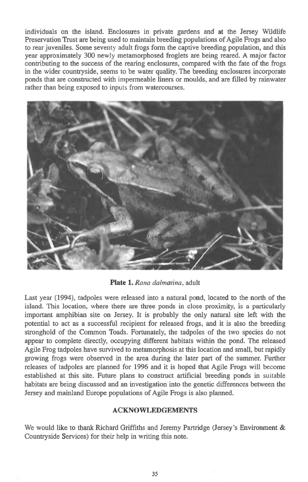individuals on the island. Enclosures in private gardens and at the Jersey Wildlife Preservation Trust are being used to maintain breeding populations of Agile Frogs and also to rear juveniles. Some seventy adult frogs form the captive breeding population, and this year approximately 300 newly metamorphosed froglets are being reared. A major factor contributing to the success of the rearing enclosures, compared with the fate of the frogs in the wider countryside, seems to be water quality. The breeding enclosures incorporate ponds that are constructed with impermeable liners or moulds, and are filled by rainwater rather than being exposed to inputs from watercourses.



**Plate 1.** *Rana dalmatina,* adult

Last year (1994), tadpoles were released into a natural pond, located to the north of the island. This location, where there are three ponds in close proximity, is a particularly important amphibian site on Jersey. It is probably the only natural site left with the potential to act as a successful recipient for released frogs, and it is also the breeding stronghold of the Common Toads. Fortunately, the tadpoles of the two species do not appear to complete directly, occupying different habitats within the pond. The released Agile Frog tadpoles have survived to metamorphosis at this location and small, but rapidly growing frogs were observed in the area during the later part of the summer. Further releases of tadpoles are planned for 1996 and it is hoped that Agile Frogs will become established at this site. Future plans to construct artificial breeding ponds in suitable habitats are being discussed and an investigation into the genetic differences between the Jersey and mainland Europe populations of Agile Frogs is also planned.

## **ACKNOWLEDGEMENTS**

We would like to thank Richard Griffiths and Jeremy Partridge (Jersey's Environment & Countryside Services) for their help in writing this note.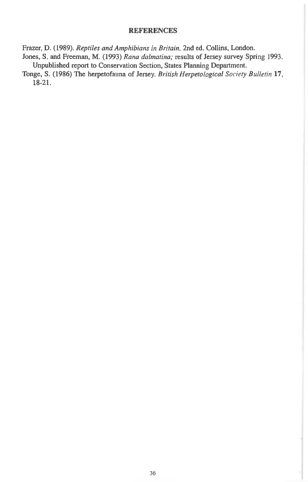## REFERENCES

Frazer, D. (1989). *Reptiles and Amphibians in Britain.* 2nd ed. Collins, London.

- Jones, S. and Freeman, M. (1993) *Rana dalmatina;* results of Jersey survey Spring 1993. Unpublished report to Conservation Section, States Planning Department.
- Tonge, S. (1986) The herpetofauna of Jersey. *British Herpetological Society Bulletin 17,*  18-21.